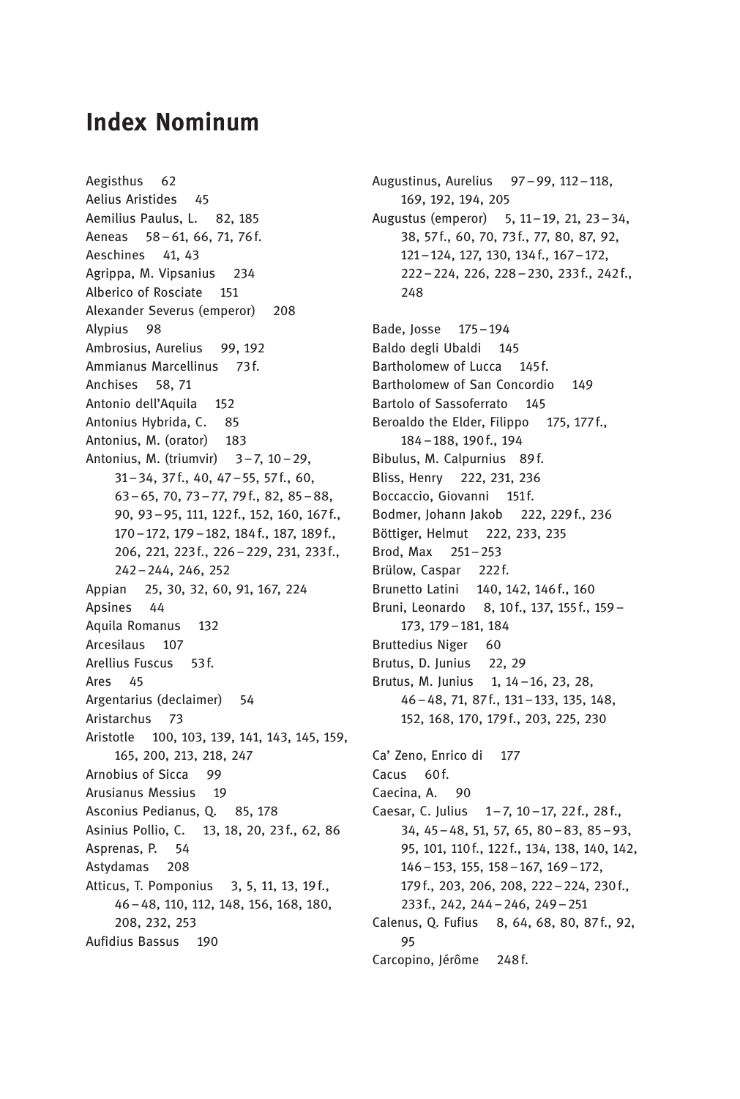## Index Nominum

Aegisthus 62 Aelius Aristides 45 Aemilius Paulus, L. 82, 185 Aeneas 58–61, 66, 71, 76f. Aeschines 41, 43 Agrippa, M. Vipsanius 234 Alberico of Rosciate 151 Alexander Severus (emperor) 208 Alypius 98 Ambrosius, Aurelius 99, 192 Ammianus Marcellinus 73f. Anchises 58, 71 Antonio dell'Aquila 152 Antonius Hybrida, C. 85 Antonius, M. (orator) 183 Antonius, M. (triumvir) 3–7, 10–29, 31–34, 37f., 40, 47–55, 57f., 60, 63–65, 70, 73–77, 79 f., 82, 85–88, 90, 93–95, 111, 122f., 152, 160, 167f., 170–172, 179–182, 184f., 187, 189f., 206, 221, 223f., 226–229, 231, 233f., 242–244, 246, 252 Appian 25, 30, 32, 60, 91, 167, 224 Apsines 44 Aquila Romanus 132 Arcesilaus 107 Arellius Fuscus 53f. Ares 45 Argentarius (declaimer) 54 Aristarchus 73 Aristotle 100, 103, 139, 141, 143, 145, 159, 165, 200, 213, 218, 247 Arnobius of Sicca 99 Arusianus Messius 19 Asconius Pedianus, Q. 85, 178 Asinius Pollio, C. 13, 18, 20, 23f., 62, 86 Asprenas, P. 54 Astydamas 208 Atticus, T. Pomponius 3, 5, 11, 13, 19f., 46–48, 110, 112, 148, 156, 168, 180, 208, 232, 253 Aufidius Bassus 190

Augustinus, Aurelius 97–99, 112–118, 169, 192, 194, 205 Augustus (emperor) 5, 11–19, 21, 23–34, 38, 57f., 60, 70, 73 f., 77, 80, 87, 92, 121–124, 127, 130, 134f., 167–172, 222–224, 226, 228–230, 233f., 242f., 248 Bade, Josse 175–194 Baldo degli Ubaldi 145 Bartholomew of Lucca 145f. Bartholomew of San Concordio 149 Bartolo of Sassoferrato 145 Beroaldo the Elder, Filippo 175, 177f., 184–188, 190f., 194 Bibulus, M. Calpurnius 89f. Bliss, Henry 222, 231, 236 Boccaccio, Giovanni 151f. Bodmer, Johann Jakob 222, 229f., 236 Böttiger, Helmut 222, 233, 235 Brod, Max 251–253 Brülow, Caspar 222f. Brunetto Latini 140, 142, 146f., 160 Bruni, Leonardo 8, 10f., 137, 155 f., 159– 173, 179–181, 184 Bruttedius Niger 60 Brutus, D. Junius 22, 29 Brutus, M. Junius 1, 14–16, 23, 28, 46–48, 71, 87f., 131–133, 135, 148, 152, 168, 170, 179f., 203, 225, 230 Ca' Zeno, Enrico di 177 Cacus 60f. Caecina, A. 90 Caesar, C. Julius 1–7, 10–17, 22 f., 28f., 34, 45–48, 51, 57, 65, 80–83, 85–93, 95, 101, 110f., 122f., 134, 138, 140, 142, 146–153, 155, 158–167, 169–172, 179f., 203, 206, 208, 222–224, 230f., 233f., 242, 244–246, 249–251 Calenus, Q. Fufius 8, 64, 68, 80, 87f., 92, 95 Carcopino, Jérôme 248f.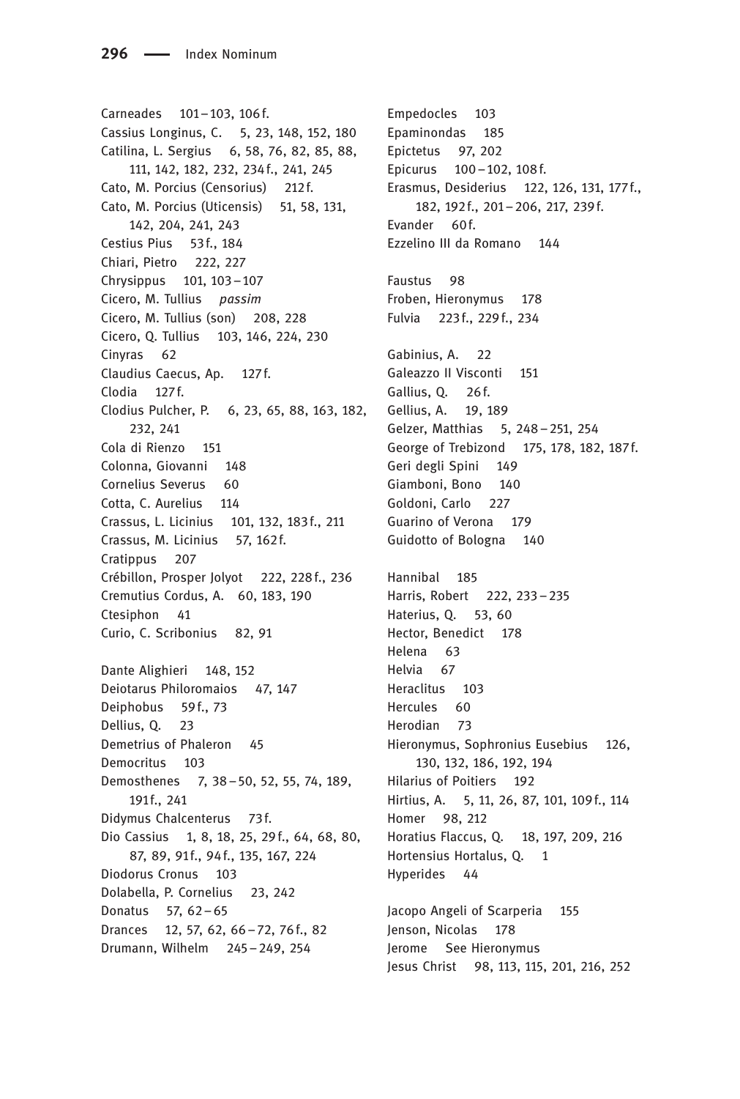Carneades 101–103, 106f. Cassius Longinus, C. 5, 23, 148, 152, 180 Catilina, L. Sergius 6, 58, 76, 82, 85, 88, 111, 142, 182, 232, 234f., 241, 245 Cato, M. Porcius (Censorius) 212f. Cato, M. Porcius (Uticensis) 51, 58, 131, 142, 204, 241, 243 Cestius Pius 53f., 184 Chiari, Pietro 222, 227 Chrysippus 101, 103–107 Cicero, M. Tullius passim Cicero, M. Tullius (son) 208, 228 Cicero, Q. Tullius 103, 146, 224, 230 Cinyras 62 Claudius Caecus, Ap. 127f. Clodia 127f. Clodius Pulcher, P. 6, 23, 65, 88, 163, 182, 232, 241 Cola di Rienzo 151 Colonna, Giovanni 148 Cornelius Severus 60 Cotta, C. Aurelius 114 Crassus, L. Licinius 101, 132, 183f., 211 Crassus, M. Licinius 57, 162f. Cratippus 207 Crébillon, Prosper Jolyot 222, 228f., 236 Cremutius Cordus, A. 60, 183, 190 Ctesiphon 41 Curio, C. Scribonius 82, 91 Dante Alighieri 148, 152 Deiotarus Philoromaios 47, 147 Deiphobus 59f., 73 Dellius, Q. 23 Demetrius of Phaleron 45 Democritus 103 Demosthenes 7, 38–50, 52, 55, 74, 189, 191f., 241 Didymus Chalcenterus 73f. Dio Cassius 1, 8, 18, 25, 29f., 64, 68, 80, 87, 89, 91f., 94f., 135, 167, 224 Diodorus Cronus 103 Dolabella, P. Cornelius 23, 242 Donatus 57, 62–65 Drances 12, 57, 62, 66–72, 76f., 82 Drumann, Wilhelm 245–249, 254

Empedocles 103 Epaminondas 185 Epictetus 97, 202 Epicurus 100–102, 108f. Erasmus, Desiderius 122, 126, 131, 177f., 182, 192f., 201–206, 217, 239f. Evander 60f. Ezzelino III da Romano 144 Faustus 98 Froben, Hieronymus 178 Fulvia 223f., 229f., 234 Gabinius, A. 22 Galeazzo II Visconti 151 Gallius, Q. 26f. Gellius, A. 19, 189 Gelzer, Matthias 5, 248 - 251, 254 George of Trebizond 175, 178, 182, 187f. Geri degli Spini 149 Giamboni, Bono 140 Goldoni, Carlo 227 Guarino of Verona 179 Guidotto of Bologna 140 Hannibal 185 Harris, Robert 222, 233–235 Haterius, Q. 53, 60 Hector, Benedict 178 Helena 63 Helvia 67 Heraclitus 103 Hercules 60 Herodian 73 Hieronymus, Sophronius Eusebius 126, 130, 132, 186, 192, 194 Hilarius of Poitiers 192 Hirtius, A. 5, 11, 26, 87, 101, 109f., 114 Homer 98, 212 Horatius Flaccus, Q. 18, 197, 209, 216 Hortensius Hortalus, Q. 1 Hyperides 44 Jacopo Angeli of Scarperia 155 Jenson, Nicolas 178 Jerome See Hieronymus Jesus Christ 98, 113, 115, 201, 216, 252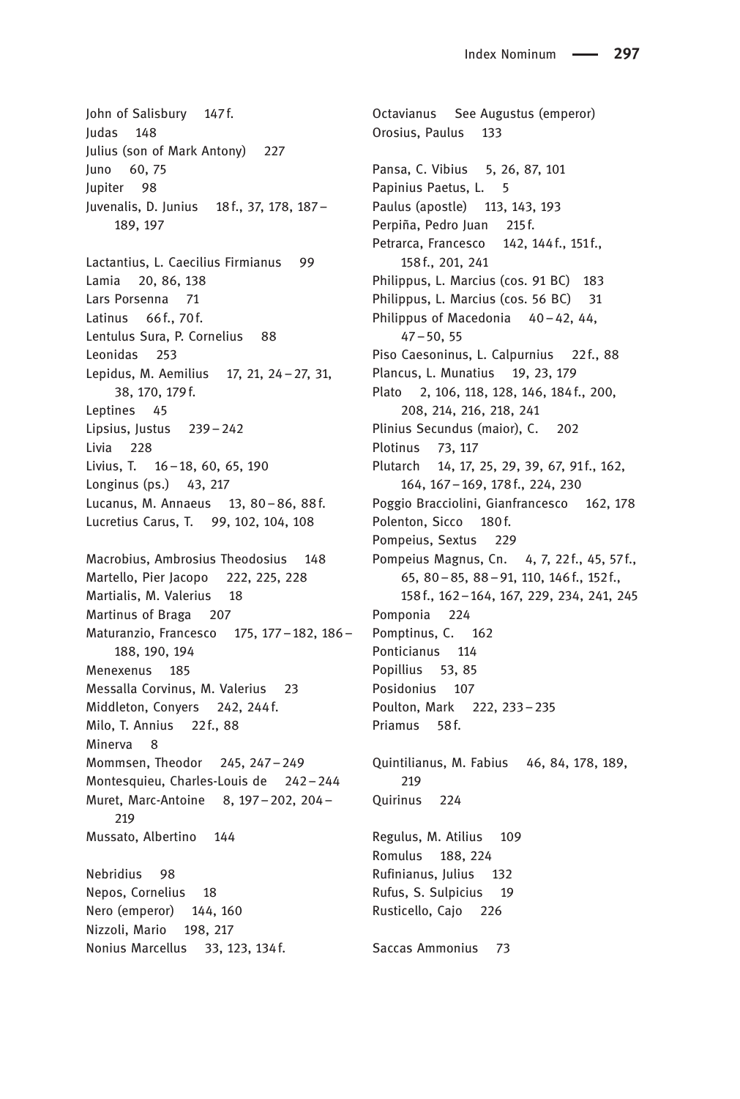John of Salisbury 147f. Judas 148 Julius (son of Mark Antony) 227 Juno 60, 75 Jupiter 98 Juvenalis, D. Junius 18f., 37, 178, 187– 189, 197 Lactantius, L. Caecilius Firmianus 99 Lamia 20, 86, 138 Lars Porsenna 71 Latinus 66f., 70 f. Lentulus Sura, P. Cornelius 88 Leonidas 253 Lepidus, M. Aemilius 17, 21, 24–27, 31, 38, 170, 179f. Leptines 45 Lipsius, Justus 239–242 Livia 228 Livius, T. 16–18, 60, 65, 190 Longinus (ps.) 43, 217 Lucanus, M. Annaeus 13, 80–86, 88f. Lucretius Carus, T. 99, 102, 104, 108 Macrobius, Ambrosius Theodosius 148 Martello, Pier Jacopo 222, 225, 228 Martialis, M. Valerius 18 Martinus of Braga 207 Maturanzio, Francesco 175, 177–182, 186– 188, 190, 194 Menexenus 185 Messalla Corvinus, M. Valerius 23 Middleton, Conyers 242, 244f. Milo, T. Annius 22f., 88 Minerva 8 Mommsen, Theodor 245, 247–249 Montesquieu, Charles-Louis de 242–244 Muret, Marc-Antoine 8, 197–202, 204– 219 Mussato, Albertino 144 Nebridius 98 Nepos, Cornelius 18 Nero (emperor) 144, 160 Nizzoli, Mario 198, 217 Nonius Marcellus 33, 123, 134f.

Octavianus See Augustus (emperor) Orosius, Paulus 133 Pansa, C. Vibius 5, 26, 87, 101 Papinius Paetus, L. 5 Paulus (apostle) 113, 143, 193 Perpiña, Pedro Juan 215f. Petrarca, Francesco 142, 144f., 151f., 158f., 201, 241 Philippus, L. Marcius (cos. 91 BC) 183 Philippus, L. Marcius (cos. 56 BC) 31 Philippus of Macedonia 40-42, 44, 47–50, 55 Piso Caesoninus, L. Calpurnius 22f., 88 Plancus, L. Munatius 19, 23, 179 Plato 2, 106, 118, 128, 146, 184f., 200, 208, 214, 216, 218, 241 Plinius Secundus (maior), C. 202 Plotinus 73, 117 Plutarch 14, 17, 25, 29, 39, 67, 91f., 162, 164, 167–169, 178f., 224, 230 Poggio Bracciolini, Gianfrancesco 162, 178 Polenton, Sicco 180f. Pompeius, Sextus 229 Pompeius Magnus, Cn. 4, 7, 22f., 45, 57f., 65, 80–85, 88–91, 110, 146f., 152f., 158f., 162–164, 167, 229, 234, 241, 245 Pomponia 224 Pomptinus, C. 162 Ponticianus 114 Popillius 53, 85 Posidonius 107 Poulton, Mark 222, 233–235 Priamus 58f. Quintilianus, M. Fabius 46, 84, 178, 189, 219 Quirinus 224 Regulus, M. Atilius 109 Romulus 188, 224 Rufinianus, Julius 132 Rufus, S. Sulpicius 19 Rusticello, Cajo 226 Saccas Ammonius 73